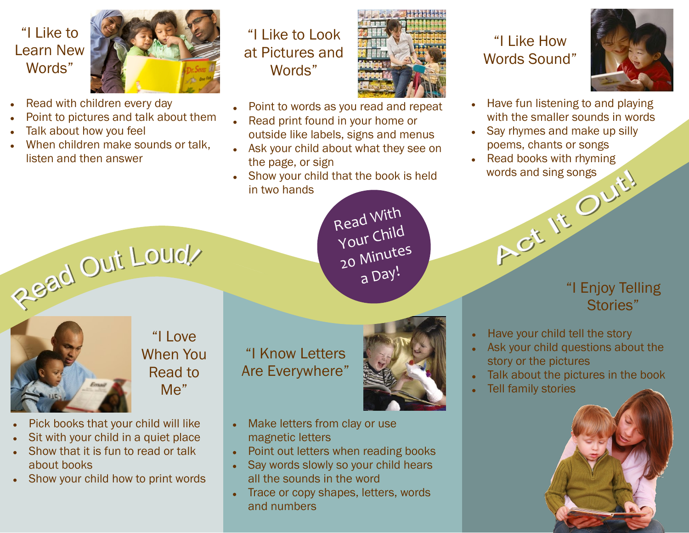# "I Like to Learn New Words"



- Read with children every day
- Point to pictures and talk about them
- Talk about how you feel
- When children make sounds or talk, listen and then answer





- Point to words as you read and repeat
- Read print found in your home or outside like labels, signs and menus
- Ask your child about what they see on the page, or sign
- Show your child that the book is held in two hands

Read With Your Child 20 Minutes a Day!



"I Love When You Read to Me"

- Pick books that your child will like
- Sit with your child in a quiet place
- Show that it is fun to read or talk Ō. about books
- Show your child how to print words

"I Know Letters Are Everywhere"



- Make letters from clay or use  $\bullet$ magnetic letters
- Point out letters when reading books
- Say words slowly so your child hears  $\bullet$ all the sounds in the word
- Trace or copy shapes, letters, words and numbers

## "I Like How Words Sound"



- Have fun listening to and playing  $\bullet$ with the smaller sounds in words
- Say rhymes and make up silly poems, chants or songs
- Read books with rhyming Act It Ouit!

## "I Enjoy Telling Stories"

- Have your child tell the story
- Ask your child questions about the story or the pictures
- Talk about the pictures in the book
- Tell family stories